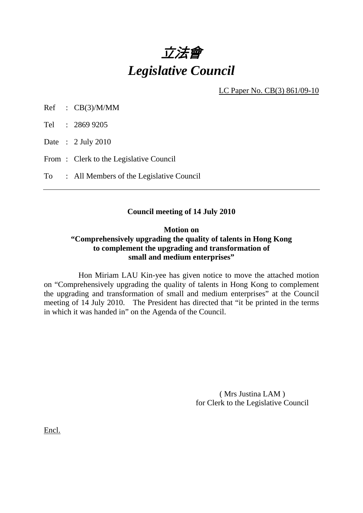

LC Paper No. CB(3) 861/09-10

Ref : CB(3)/M/MM

Tel : 2869 9205

Date : 2 July 2010

From: Clerk to the Legislative Council

To : All Members of the Legislative Council

## **Council meeting of 14 July 2010**

# **Motion on "Comprehensively upgrading the quality of talents in Hong Kong to complement the upgrading and transformation of small and medium enterprises"**

 Hon Miriam LAU Kin-yee has given notice to move the attached motion on "Comprehensively upgrading the quality of talents in Hong Kong to complement the upgrading and transformation of small and medium enterprises" at the Council meeting of 14 July 2010. The President has directed that "it be printed in the terms in which it was handed in" on the Agenda of the Council.

> ( Mrs Justina LAM ) for Clerk to the Legislative Council

Encl.